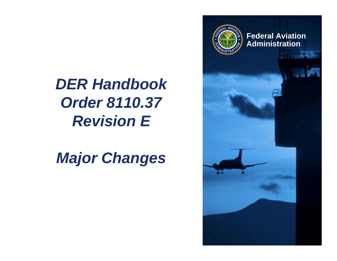

*DER HandbookOrder 8110.37 Revision E*

*Major Changes*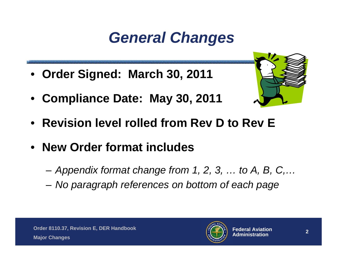#### *General Changes*

- **Order Signed: March 30, 2011**
- **Compliance Date: May 30, 2011**



- **Revision level rolled from Rev D to Rev E**
- **New Order format includes**
	- –*Appendix format change from 1, 2, 3, … to A, B, C,…*
	- –*No paragraph references on bottom of each page*

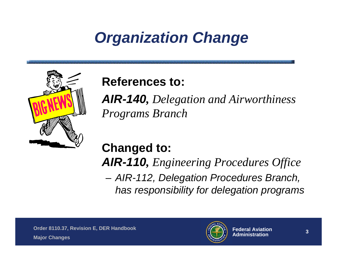#### *Organization Change*



#### **References to:**

*AIR-140, Delegation and Airworthiness Programs Branch*

#### **Changed to:**

*AIR-110, Engineering Procedures Office*

**Links of the Company**  *AIR-112, Delegation Procedures Branch, has responsibility for delegation programs*

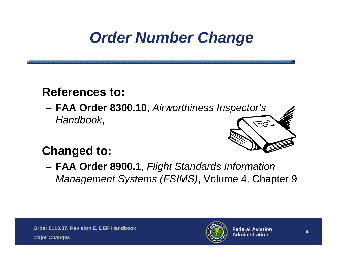#### *Order Number Change*

#### **References to:**

 **FAA Order 8300.10**, *Airworthiness Inspector's Handbook*,



#### **Changed to:**

 **FAA Order 8900.1**, *Flight Standards Information Management Systems (FSIMS)*, Volume 4, Chapter 9

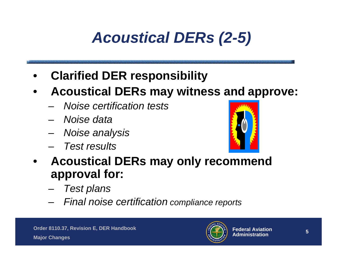## *Acoustical DERs (2-5)*

- •**Clarified DER responsibility**
- • **Acoustical DERs may witness and approve:**
	- *Noise certification tests*
	- *Noise data*
	- *Noise analysis*
	- *Test results*



- • **Acoustical DERs may only recommend approval for:**
	- *Test plans*
	- *Final noise certification compliance reports*

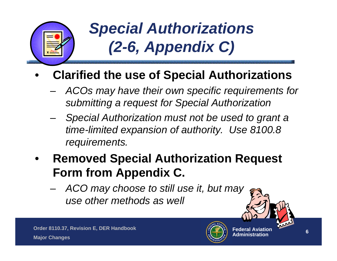

#### *Special Authorizations (2-6, Appendix C)*

#### •**Clarified the use of Special Authorizations**

- *ACOs may have their own specific requirements for submitting a request for Special Authorization*
- *Special Authorization must not be used to grant a time-limited expansion of authority. Use 8100.8 requirements.*
- • **Removed Special Authorization Request Form from Appendix C.**
	- – *ACO may choose to still use it, but may use other methods as well*





 $\bigvee$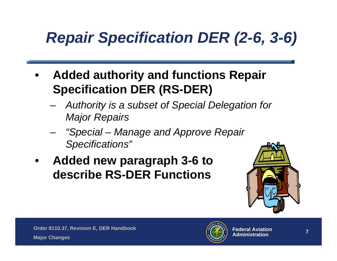# *Repair Specification DER (2-6, 3-6)*

- • **Added authority and functions Repair Specification DER (RS-DER)**
	- – *Authority is a subset of Special Delegation for Major Repairs*
	- *"Special – Manage and Approve Repair Specifications"*
- • **Added new paragraph 3-6 to describe RS-DER Functions**



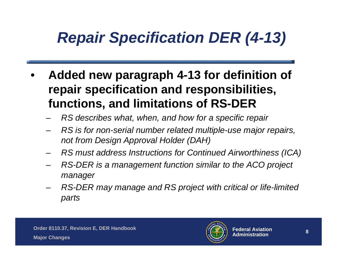#### *Repair Specification DER (4-13)*

- • **Added new paragraph 4-13 for definition of repair specification and responsibilities, functions, and limitations of RS-DER**
	- *RS describes what, when, and how for a specific repair*
	- – *RS is for non-serial number related multiple-use major repairs, not from Design Approval Holder (DAH)*
	- –*RS must address Instructions for Continued Airworthiness (ICA)*
	- *RS-DER is a management function similar to the ACO project manager*
	- *RS-DER may manage and RS project with critical or life-limited parts*

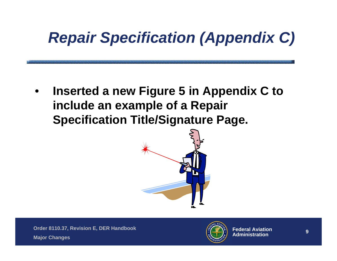## *Repair Specification (Appendix C)*

• **Inserted a new Figure 5 in Appendix C to include an example of a Repair Specification Title/Signature Page.**



**Order 8110.37, Revision E, DER Handbook Major Changes**

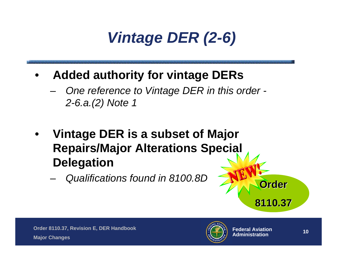#### *Vintage DER (2-6)*

- • **Added authority for vintage DERs**
	- *One reference to Vintage DER in this order - 2-6.a.(2) Note 1*
- • **Vintage DER is a subset of Major Repairs/Major Alterations Special Delegation**
	- –*Qualifications found in 8100.8D* **Order**



**8110.37 8110.37**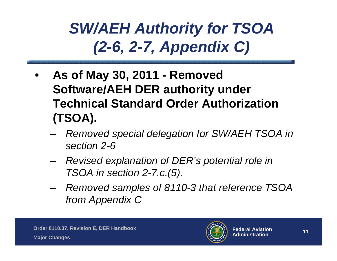#### *SW/AEH Authority for TSOA (2-6, 2-7, Appendix C)*

- • **As of May 30, 2011 - Removed Software/AEH DER authority under Technical Standard Order Authorization (TSOA).** 
	- *Removed special delegation for SW/AEH TSOA in section 2-6*
	- – *Revised explanation of DER's potential role in TSOA in section 2-7.c.(5).*
	- *Removed samples of 8110-3 that reference TSOA from Appendix C*

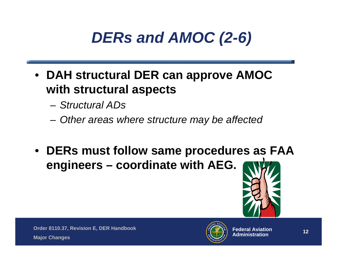#### *DERs and AMOC (2-6)*

- **DAH structural DER can approve AMOC with structural aspects**
	- *Structural ADs*
	- –*Other areas where structure may be affected*
- **DERs must follow same procedures as FAA engineers – coordinate with AEG.**



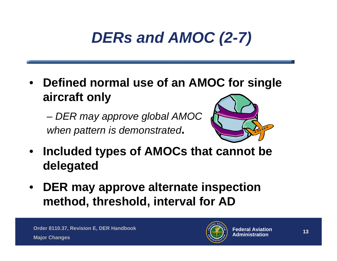## *DERs and AMOC (2-7)*

• **Defined normal use of an AMOC for single aircraft only**

 *DER may approve global AMOC when pattern is demonstrated***.**



- **Included types of AMOCs that cannot be delegated**
- **DER may approve alternate inspection method, threshold, interval for AD**

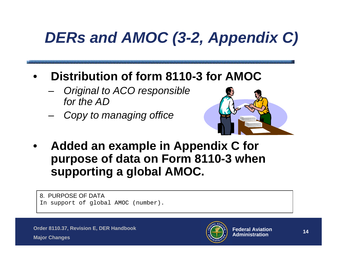## *DERs and AMOC (3-2, Appendix C)*

- • **Distribution of form 8110-3 for AMOC**
	- *Original to ACO responsible for the AD*
	- –*Copy to managing office*



• **Added an example in Appendix C for purpose of data on Form 8110-3 when supporting a global AMOC.**

8. PURPOSE OF DATAIn support of global AMOC (number).

**Order 8110.37, Revision E, DER Handbook**



**Major Changes**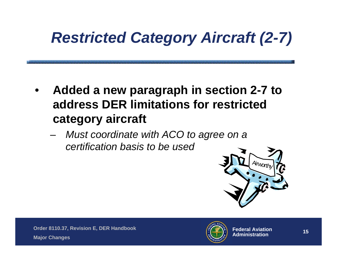## *Restricted Category Aircraft (2-7)*

- • **Added a new paragraph in section 2-7 to address DER limitations for restricted category aircraft**
	- *Must coordinate with ACO to agree on a certification basis to be used*



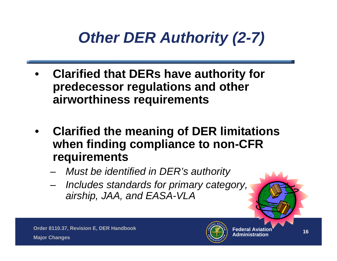#### *Other DER Authority (2-7)*

- • **Clarified that DERs have authority for predecessor regulations and other airworthiness requirements**
- • **Clarified the meaning of DER limitations when finding compliance to non-CFR requirements**
	- *Must be identified in DER's authority*
	- – *Includes standards for primary category, airship, JAA, and EASA-VLA*

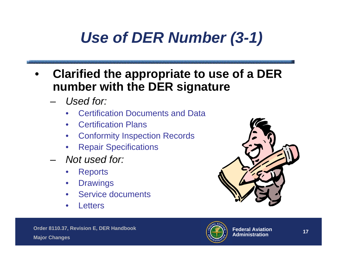#### *Use of DER Number (3-1)*

- • **Clarified the appropriate to use of a DER number with the DER signature**
	- – *Used for:*
		- •Certification Documents and Data
		- Certification Plans
		- •Conformity Inspection Records
		- •Repair Specifications
	- *Not used for:*
		- •**Reports**
		- $\bullet$ **Drawings**
		- •Service documents
		- •**Letters**



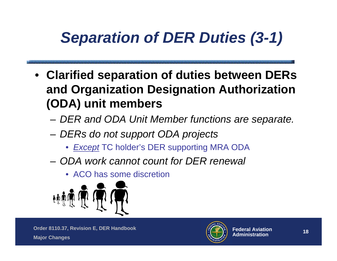## *Separation of DER Duties (3-1)*

- **Clarified separation of duties between DERs and Organization Designation Authorization (ODA) unit members** 
	- –*DER and ODA Unit Member functions are separate.*
	- – *DERs do not support ODA projects*
		- *Except* TC holder's DER supporting MRA ODA
	- *ODA work cannot count for DER renewal*
		- ACO has some discretion



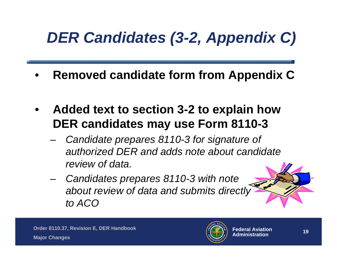# *DER Candidates (3-2, Appendix C)*

- •**Removed candidate form from Appendix C**
- • **Added text to section 3-2 to explain how DER candidates may use Form 8110-3**
	- *Candidate prepares 8110-3 for signature of authorized DER and adds note about candidate review of data.*
	- *Candidates prepares 8110-3 with note about review of data and submits directly to ACO*



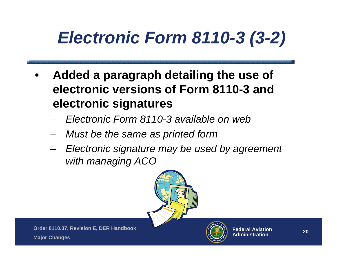# *Electronic Form 8110-3 (3-2)*

- • **Added a paragraph detailing the use of electronic versions of Form 8110-3 and electronic signatures**
	- –*Electronic Form 8110-3 available on web*
	- –*Must be the same as printed form*
	- – *Electronic signature may be used by agreement with managing ACO*



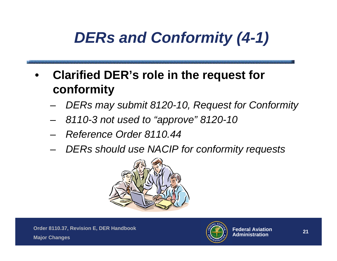## *DERs and Conformity (4-1)*

- • **Clarified DER's role in the request for conformity**
	- –*DERs may submit 8120-10, Request for Conformity*
	- –*8110-3 not used to "approve" 8120-10*
	- –*Reference Order 8110.44*
	- –*DERs should use NACIP for conformity requests*



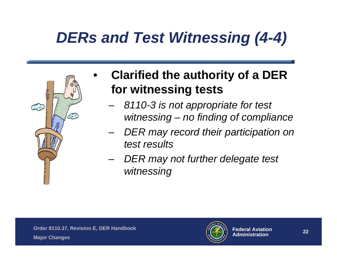## *DERs and Test Witnessing (4-4)*



- • **Clarified the authority of a DER for witnessing tests**
	- – *8110-3 is not appropriate for test witnessing – no finding of compliance*
	- *DER may record their participation on test results*
	- *DER may not further delegate test witnessing*

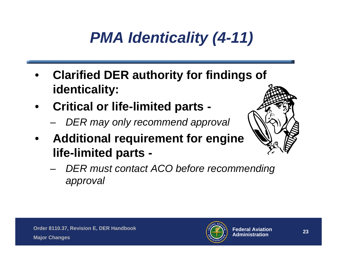# *PMA Identicality (4-11)*

- • **Clarified DER authority for findings of identicality:**
- • **Critical or life-limited parts -**
	- –*DER may only recommend approval*
- $\bullet$  **Additional requirement for engine life-limited parts -**



 *DER must contact ACO before recommending approval*

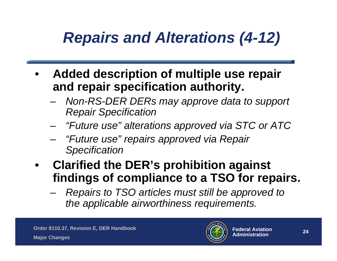#### *Repairs and Alterations (4-12)*

- • **Added description of multiple use repair and repair specification authority.**
	- – *Non-RS-DER DERs may approve data to support Repair Specification*
	- *"Future use" alterations approved via STC or ATC*
	- *"Future use" repairs approved via Repair Specification*
- **Clarified the DER's prohibition against findings of compliance to a TSO for repairs.** 
	- *Repairs to TSO articles must still be approved to the applicable airworthiness requirements.*

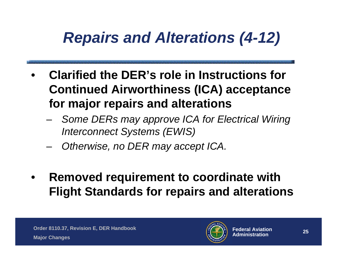#### *Repairs and Alterations (4-12)*

- • **Clarified the DER's role in Instructions for Continued Airworthiness (ICA) acceptance for major repairs and alterations**
	- – *Some DERs may approve ICA for Electrical Wiring Interconnect Systems (EWIS)*
	- *Otherwise, no DER may accept ICA.*
- $\bullet$  **Removed requirement to coordinate with Flight Standards for repairs and alterations**

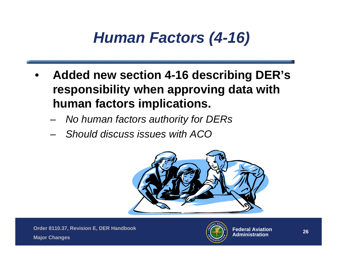#### *Human Factors (4-16)*

- • **Added new section 4-16 describing DER's responsibility when approving data with human factors implications.**
	- –*No human factors authority for DERs*
	- –*Should discuss issues with ACO*



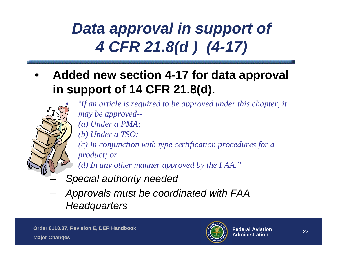#### *Data approval in support of 4 CFR 21.8(d ) (4-17)*

• **Added new section 4-17 for data approval in support of 14 CFR 21.8(d).**

> "*If an article is required to be approved under this chapter, it may be approved-- (a) Under a PMA; (b) Under a TSO; (c) In conjunction with type certification procedures for a product; or (d) In any other manner approved by the FAA."*

- *Special authority needed*
- *Approvals must be coordinated with FAA Headquarters*

•

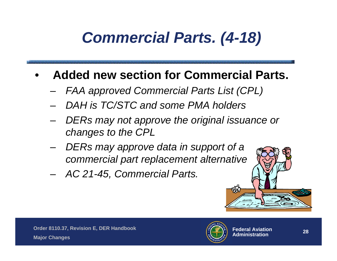## *Commercial Parts. (4-18)*

#### •**Added new section for Commercial Parts.**

- *FAA approved Commercial Parts List (CPL)*
- *DAH is TC/STC and some PMA holders*
- *DERs may not approve the original issuance or changes to the CPL*
- *DERs may approve data in support of a commercial part replacement alternative*
- –*AC 21-45, Commercial Parts.*



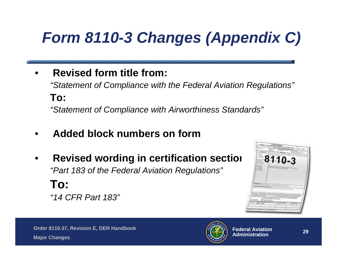# *Form 8110-3 Changes (Appendix C)*

- • **Revised form title from:** *"Statement of Compliance with the Federal Aviation Regulations"* **To:***"Statement of Compliance with Airworthiness Standards"*
- •**Added block numbers on form**
- •**Revised wording in certification section 62110-3** *"Part 183 of the Federal Aviation Regulations"* **To:** *"14 CFR Part 183"*



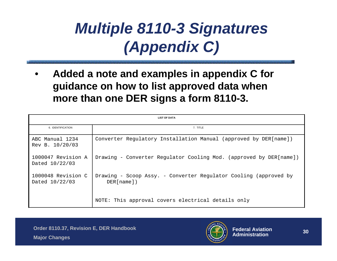#### *Multiple 8110-3 Signatures (Appendix C)*

• **Added a note and examples in appendix C for guidance on how to list approved data when more than one DER signs a form 8110-3.** 

| <b>LIST OF DATA</b>                  |                                                                                |
|--------------------------------------|--------------------------------------------------------------------------------|
| 6. IDENTIFICATION                    | 7. TITLE                                                                       |
| ABC Manual 1234<br>Rev B. 10/20/03   | Converter Regulatory Installation Manual (approved by DER[name])               |
| 1000047 Revision A<br>Dated 10/22/03 | Drawing - Converter Regulator Cooling Mod. (approved by DER[name])             |
| 1000048 Revision C<br>Dated 10/22/03 | Drawing - Scoop Assy. - Converter Regulator Cooling (approved by<br>DER[name]) |
|                                      | NOTE: This approval covers electrical details only                             |